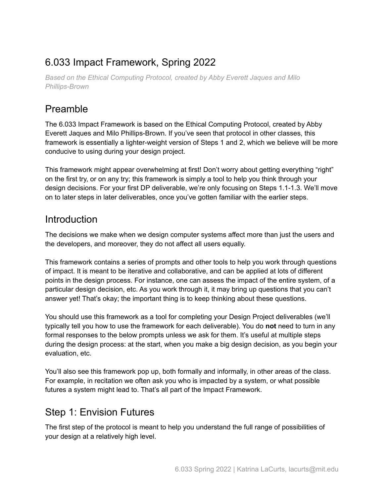# 6.033 Impact Framework, Spring 2022

*Based on the Ethical Computing Protocol, created by Abby Everett Jaques and Milo Phillips-Brown*

# Preamble

The 6.033 Impact Framework is based on the Ethical Computing Protocol, created by Abby Everett Jaques and Milo Phillips-Brown. If you've seen that protocol in other classes, this framework is essentially a lighter-weight version of Steps 1 and 2, which we believe will be more conducive to using during your design project.

This framework might appear overwhelming at first! Don't worry about getting everything "right" on the first try, or on any try; this framework is simply a tool to help you think through your design decisions. For your first DP deliverable, we're only focusing on Steps 1.1-1.3. We'll move on to later steps in later deliverables, once you've gotten familiar with the earlier steps.

## Introduction

The decisions we make when we design computer systems affect more than just the users and the developers, and moreover, they do not affect all users equally.

This framework contains a series of prompts and other tools to help you work through questions of impact. It is meant to be iterative and collaborative, and can be applied at lots of different points in the design process. For instance, one can assess the impact of the entire system, of a particular design decision, etc. As you work through it, it may bring up questions that you can't answer yet! That's okay; the important thing is to keep thinking about these questions.

You should use this framework as a tool for completing your Design Project deliverables (we'll typically tell you how to use the framework for each deliverable). You do **not** need to turn in any formal responses to the below prompts unless we ask for them. It's useful at multiple steps during the design process: at the start, when you make a big design decision, as you begin your evaluation, etc.

You'll also see this framework pop up, both formally and informally, in other areas of the class. For example, in recitation we often ask you who is impacted by a system, or what possible futures a system might lead to. That's all part of the Impact Framework.

# Step 1: Envision Futures

The first step of the protocol is meant to help you understand the full range of possibilities of your design at a relatively high level.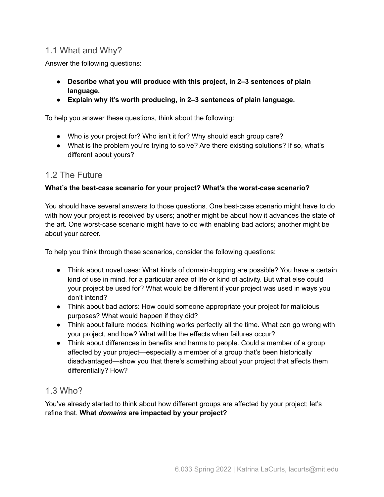### 1.1 What and Why?

Answer the following questions:

- **● Describe what you will produce with this project, in 2–3 sentences of plain language.**
- **● Explain why it's worth producing, in 2–3 sentences of plain language.**

To help you answer these questions, think about the following:

- Who is your project for? Who isn't it for? Why should each group care?
- What is the problem you're trying to solve? Are there existing solutions? If so, what's different about yours?

### 1.2 The Future

#### **What's the best-case scenario for your project? What's the worst-case scenario?**

You should have several answers to those questions. One best-case scenario might have to do with how your project is received by users; another might be about how it advances the state of the art. One worst-case scenario might have to do with enabling bad actors; another might be about your career.

To help you think through these scenarios, consider the following questions:

- Think about novel uses: What kinds of domain-hopping are possible? You have a certain kind of use in mind, for a particular area of life or kind of activity. But what else could your project be used for? What would be different if your project was used in ways you don't intend?
- Think about bad actors: How could someone appropriate your project for malicious purposes? What would happen if they did?
- Think about failure modes: Nothing works perfectly all the time. What can go wrong with your project, and how? What will be the effects when failures occur?
- Think about differences in benefits and harms to people. Could a member of a group affected by your project—especially a member of a group that's been historically disadvantaged—show you that there's something about your project that affects them differentially? How?

### 1.3 Who?

You've already started to think about how different groups are affected by your project; let's refine that. **What** *domains* **are impacted by your project?**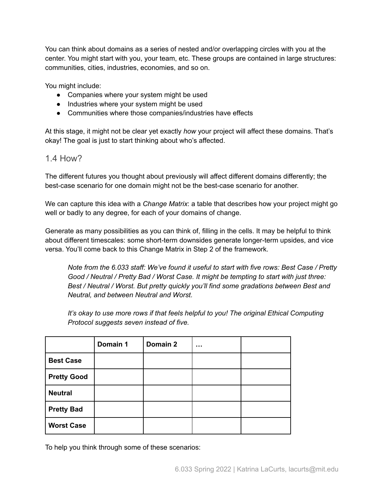You can think about domains as a series of nested and/or overlapping circles with you at the center. You might start with you, your team, etc. These groups are contained in large structures: communities, cities, industries, economies, and so on.

You might include:

- Companies where your system might be used
- Industries where your system might be used
- Communities where those companies/industries have effects

At this stage, it might not be clear yet exactly *how* your project will affect these domains. That's okay! The goal is just to start thinking about who's affected.

### 1.4 How?

The different futures you thought about previously will affect different domains differently; the best-case scenario for one domain might not be the best-case scenario for another.

We can capture this idea with a *Change Matrix*: a table that describes how your project might go well or badly to any degree, for each of your domains of change.

Generate as many possibilities as you can think of, filling in the cells. It may be helpful to think about different timescales: some short-term downsides generate longer-term upsides, and vice versa. You'll come back to this Change Matrix in Step 2 of the framework.

*Note from the 6.033 staff: We've found it useful to start with five rows: Best Case / Pretty Good / Neutral / Pretty Bad / Worst Case. It might be tempting to start with just three: Best / Neutral / Worst. But pretty quickly you'll find some gradations between Best and Neutral, and between Neutral and Worst.*

*It's okay to use more rows if that feels helpful to you! The original Ethical Computing Protocol suggests seven instead of five.*

|                    | Domain 1 | Domain 2 |  |
|--------------------|----------|----------|--|
| <b>Best Case</b>   |          |          |  |
| <b>Pretty Good</b> |          |          |  |
| <b>Neutral</b>     |          |          |  |
| <b>Pretty Bad</b>  |          |          |  |
| <b>Worst Case</b>  |          |          |  |

To help you think through some of these scenarios: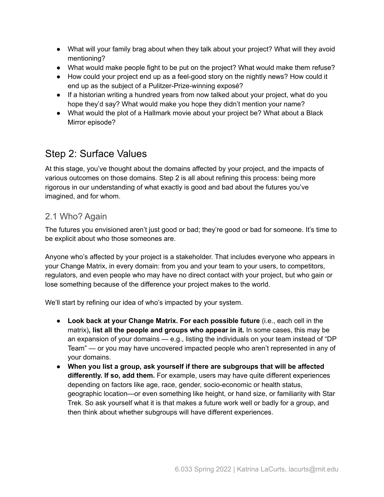- What will your family brag about when they talk about your project? What will they avoid mentioning?
- What would make people fight to be put on the project? What would make them refuse?
- How could your project end up as a feel-good story on the nightly news? How could it end up as the subject of a Pulitzer-Prize-winning exposé?
- If a historian writing a hundred years from now talked about your project, what do you hope they'd say? What would make you hope they didn't mention your name?
- What would the plot of a Hallmark movie about your project be? What about a Black Mirror episode?

# Step 2: Surface Values

At this stage, you've thought about the domains affected by your project, and the impacts of various outcomes on those domains. Step 2 is all about refining this process: being more rigorous in our understanding of what exactly is good and bad about the futures you've imagined, and for whom.

### 2.1 Who? Again

The futures you envisioned aren't just good or bad; they're good or bad for someone. It's time to be explicit about who those someones are.

Anyone who's affected by your project is a stakeholder. That includes everyone who appears in your Change Matrix, in every domain: from you and your team to your users, to competitors, regulators, and even people who may have no direct contact with your project, but who gain or lose something because of the difference your project makes to the world.

We'll start by refining our idea of who's impacted by your system.

- **● Look back at your Change Matrix. For each possible future** (i.e., each cell in the matrix)**, list all the people and groups who appear in it.** In some cases, this may be an expansion of your domains — e.g., listing the individuals on your team instead of "DP Team" — or you may have uncovered impacted people who aren't represented in any of your domains.
- **● When you list a group, ask yourself if there are subgroups that will be affected differently. If so, add them.** For example, users may have quite different experiences depending on factors like age, race, gender, socio-economic or health status, geographic location—or even something like height, or hand size, or familiarity with Star Trek. So ask yourself what it is that makes a future work well or badly for a group, and then think about whether subgroups will have different experiences.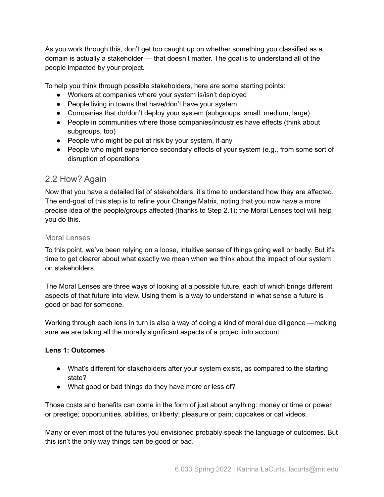As you work through this, don't get too caught up on whether something you classified as a domain is actually a stakeholder — that doesn't matter. The goal is to understand all of the people impacted by your project.

To help you think through possible stakeholders, here are some starting points:

- Workers at companies where your system is/isn't deployed
- People living in towns that have/don't have your system
- Companies that do/don't deploy your system (subgroups: small, medium, large)
- People in communities where those companies/industries have effects (think about subgroups, too)
- People who might be put at risk by your system, if any
- People who might experience secondary effects of your system (e.g., from some sort of disruption of operations

### 2.2 How? Again

Now that you have a detailed list of stakeholders, it's time to understand how they are affected. The end-goal of this step is to refine your Change Matrix, noting that you now have a more precise idea of the people/groups affected (thanks to Step 2.1); the Moral Lenses tool will help you do this.

#### Moral Lenses

To this point, we've been relying on a loose, intuitive sense of things going well or badly. But it's time to get clearer about what exactly we mean when we think about the impact of our system on stakeholders.

The Moral Lenses are three ways of looking at a possible future, each of which brings different aspects of that future into view. Using them is a way to understand in what sense a future is good or bad for someone.

Working through each lens in turn is also a way of doing a kind of moral due diligence —making sure we are taking all the morally significant aspects of a project into account.

#### **Lens 1: Outcomes**

- What's different for stakeholders after your system exists, as compared to the starting state?
- What good or bad things do they have more or less of?

Those costs and benefits can come in the form of just about anything: money or time or power or prestige; opportunities, abilities, or liberty; pleasure or pain; cupcakes or cat videos.

Many or even most of the futures you envisioned probably speak the language of outcomes. But this isn't the only way things can be good or bad.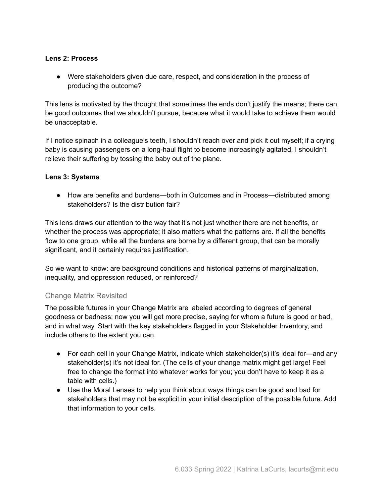#### **Lens 2: Process**

● Were stakeholders given due care, respect, and consideration in the process of producing the outcome?

This lens is motivated by the thought that sometimes the ends don't justify the means; there can be good outcomes that we shouldn't pursue, because what it would take to achieve them would be unacceptable.

If I notice spinach in a colleague's teeth, I shouldn't reach over and pick it out myself; if a crying baby is causing passengers on a long-haul flight to become increasingly agitated, I shouldn't relieve their suffering by tossing the baby out of the plane.

#### **Lens 3: Systems**

● How are benefits and burdens—both in Outcomes and in Process—distributed among stakeholders? Is the distribution fair?

This lens draws our attention to the way that it's not just whether there are net benefits, or whether the process was appropriate; it also matters what the patterns are. If all the benefits flow to one group, while all the burdens are borne by a different group, that can be morally significant, and it certainly requires justification.

So we want to know: are background conditions and historical patterns of marginalization, inequality, and oppression reduced, or reinforced?

#### Change Matrix Revisited

The possible futures in your Change Matrix are labeled according to degrees of general goodness or badness; now you will get more precise, saying for whom a future is good or bad, and in what way. Start with the key stakeholders flagged in your Stakeholder Inventory, and include others to the extent you can.

- For each cell in your Change Matrix, indicate which stakeholder(s) it's ideal for—and any stakeholder(s) it's not ideal for. (The cells of your change matrix might get large! Feel free to change the format into whatever works for you; you don't have to keep it as a table with cells.)
- Use the Moral Lenses to help you think about ways things can be good and bad for stakeholders that may not be explicit in your initial description of the possible future. Add that information to your cells.